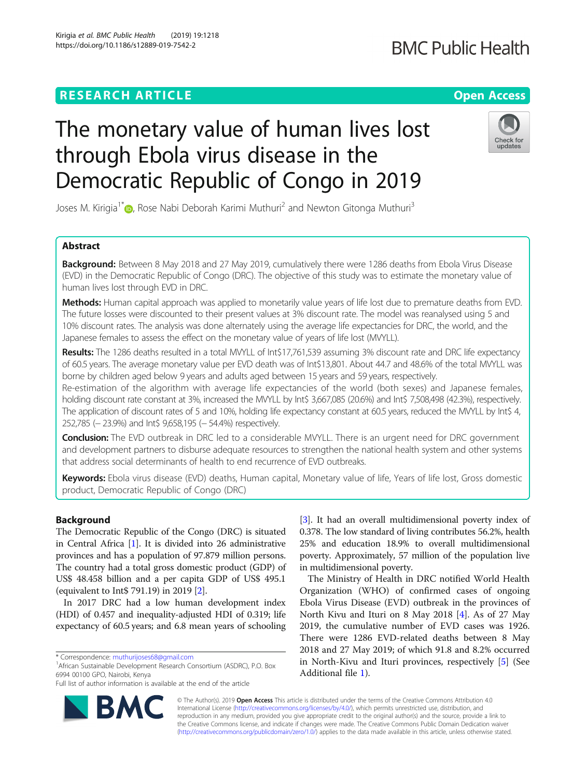# **RESEARCH ARTICLE Example 2014 12:30 The Contract of Contract ACCESS**

# The monetary value of human lives lost through Ebola virus disease in the Democratic Republic of Congo in 2019

Joses M. Kirigia<sup>1[\\*](http://orcid.org/0000-0002-2317-4666)</sup> , Rose Nabi Deborah Karimi Muthuri<sup>2</sup> and Newton Gitonga Muthuri<sup>3</sup>

# Abstract

Background: Between 8 May 2018 and 27 May 2019, cumulatively there were 1286 deaths from Ebola Virus Disease (EVD) in the Democratic Republic of Congo (DRC). The objective of this study was to estimate the monetary value of human lives lost through EVD in DRC.

Methods: Human capital approach was applied to monetarily value years of life lost due to premature deaths from EVD. The future losses were discounted to their present values at 3% discount rate. The model was reanalysed using 5 and 10% discount rates. The analysis was done alternately using the average life expectancies for DRC, the world, and the Japanese females to assess the effect on the monetary value of years of life lost (MVYLL).

Results: The 1286 deaths resulted in a total MVYLL of Int\$17,761,539 assuming 3% discount rate and DRC life expectancy of 60.5 years. The average monetary value per EVD death was of Int\$13,801. About 44.7 and 48.6% of the total MVYLL was borne by children aged below 9 years and adults aged between 15 years and 59 years, respectively.

Re-estimation of the algorithm with average life expectancies of the world (both sexes) and Japanese females, holding discount rate constant at 3%, increased the MVYLL by Int\$ 3,667,085 (20.6%) and Int\$ 7,508,498 (42.3%), respectively. The application of discount rates of 5 and 10%, holding life expectancy constant at 60.5 years, reduced the MVYLL by Int\$ 4, 252,785 (− 23.9%) and Int\$ 9,658,195 (− 54.4%) respectively.

**Conclusion:** The EVD outbreak in DRC led to a considerable MVYLL. There is an urgent need for DRC government and development partners to disburse adequate resources to strengthen the national health system and other systems that address social determinants of health to end recurrence of EVD outbreaks.

Keywords: Ebola virus disease (EVD) deaths, Human capital, Monetary value of life, Years of life lost, Gross domestic product, Democratic Republic of Congo (DRC)

# Background

The Democratic Republic of the Congo (DRC) is situated in Central Africa [\[1](#page-8-0)]. It is divided into 26 administrative provinces and has a population of 97.879 million persons. The country had a total gross domestic product (GDP) of US\$ 48.458 billion and a per capita GDP of US\$ 495.1 (equivalent to Int\$ 791.19) in 2019 [[2](#page-8-0)].

In 2017 DRC had a low human development index (HDI) of 0.457 and inequality-adjusted HDI of 0.319; life expectancy of 60.5 years; and 6.8 mean years of schooling

<sup>1</sup> African Sustainable Development Research Consortium (ASDRC), P.O. Box 6994 00100 GPO, Nairobi, Kenya

[[3\]](#page-8-0). It had an overall multidimensional poverty index of 0.378. The low standard of living contributes 56.2%, health 25% and education 18.9% to overall multidimensional poverty. Approximately, 57 million of the population live in multidimensional poverty.

The Ministry of Health in DRC notified World Health Organization (WHO) of confirmed cases of ongoing Ebola Virus Disease (EVD) outbreak in the provinces of North Kivu and Ituri on 8 May 2018 [\[4](#page-8-0)]. As of 27 May 2019, the cumulative number of EVD cases was 1926. There were 1286 EVD-related deaths between 8 May 2018 and 27 May 2019; of which 91.8 and 8.2% occurred in North-Kivu and Ituri provinces, respectively [\[5](#page-8-0)] (See Additional file [1](#page-7-0)).

© The Author(s). 2019 **Open Access** This article is distributed under the terms of the Creative Commons Attribution 4.0 International License [\(http://creativecommons.org/licenses/by/4.0/](http://creativecommons.org/licenses/by/4.0/)), which permits unrestricted use, distribution, and reproduction in any medium, provided you give appropriate credit to the original author(s) and the source, provide a link to the Creative Commons license, and indicate if changes were made. The Creative Commons Public Domain Dedication waiver [\(http://creativecommons.org/publicdomain/zero/1.0/](http://creativecommons.org/publicdomain/zero/1.0/)) applies to the data made available in this article, unless otherwise stated.





<sup>\*</sup> Correspondence: [muthurijoses68@gmail.com](mailto:muthurijoses68@gmail.com) <sup>1</sup>

Full list of author information is available at the end of the article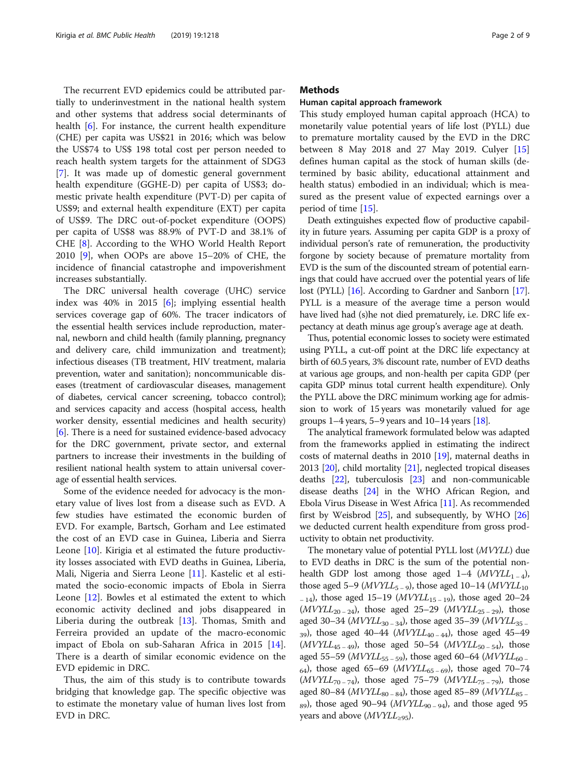The recurrent EVD epidemics could be attributed partially to underinvestment in the national health system and other systems that address social determinants of health [\[6](#page-8-0)]. For instance, the current health expenditure (CHE) per capita was US\$21 in 2016; which was below the US\$74 to US\$ 198 total cost per person needed to reach health system targets for the attainment of SDG3 [[7\]](#page-8-0). It was made up of domestic general government health expenditure (GGHE-D) per capita of US\$3; domestic private health expenditure (PVT-D) per capita of US\$9; and external health expenditure (EXT) per capita of US\$9. The DRC out-of-pocket expenditure (OOPS) per capita of US\$8 was 88.9% of PVT-D and 38.1% of CHE [\[8](#page-8-0)]. According to the WHO World Health Report 2010 [\[9](#page-8-0)], when OOPs are above 15–20% of CHE, the incidence of financial catastrophe and impoverishment increases substantially.

The DRC universal health coverage (UHC) service index was 40% in 2015 [[6\]](#page-8-0); implying essential health services coverage gap of 60%. The tracer indicators of the essential health services include reproduction, maternal, newborn and child health (family planning, pregnancy and delivery care, child immunization and treatment); infectious diseases (TB treatment, HIV treatment, malaria prevention, water and sanitation); noncommunicable diseases (treatment of cardiovascular diseases, management of diabetes, cervical cancer screening, tobacco control); and services capacity and access (hospital access, health worker density, essential medicines and health security) [[6\]](#page-8-0). There is a need for sustained evidence-based advocacy for the DRC government, private sector, and external partners to increase their investments in the building of resilient national health system to attain universal coverage of essential health services.

Some of the evidence needed for advocacy is the monetary value of lives lost from a disease such as EVD. A few studies have estimated the economic burden of EVD. For example, Bartsch, Gorham and Lee estimated the cost of an EVD case in Guinea, Liberia and Sierra Leone [\[10](#page-8-0)]. Kirigia et al estimated the future productivity losses associated with EVD deaths in Guinea, Liberia, Mali, Nigeria and Sierra Leone [[11\]](#page-8-0). Kastelic et al estimated the socio-economic impacts of Ebola in Sierra Leone [[12\]](#page-8-0). Bowles et al estimated the extent to which economic activity declined and jobs disappeared in Liberia during the outbreak [[13\]](#page-8-0). Thomas, Smith and Ferreira provided an update of the macro-economic impact of Ebola on sub-Saharan Africa in 2015 [\[14](#page-8-0)]. There is a dearth of similar economic evidence on the EVD epidemic in DRC.

Thus, the aim of this study is to contribute towards bridging that knowledge gap. The specific objective was to estimate the monetary value of human lives lost from EVD in DRC.

# **Methods**

### Human capital approach framework

This study employed human capital approach (HCA) to monetarily value potential years of life lost (PYLL) due to premature mortality caused by the EVD in the DRC between 8 May 2018 and 27 May 2019. Culyer [[15](#page-8-0)] defines human capital as the stock of human skills (determined by basic ability, educational attainment and health status) embodied in an individual; which is measured as the present value of expected earnings over a period of time [\[15\]](#page-8-0).

Death extinguishes expected flow of productive capability in future years. Assuming per capita GDP is a proxy of individual person's rate of remuneration, the productivity forgone by society because of premature mortality from EVD is the sum of the discounted stream of potential earnings that could have accrued over the potential years of life lost (PYLL) [[16](#page-8-0)]. According to Gardner and Sanborn [\[17](#page-8-0)]. PYLL is a measure of the average time a person would have lived had (s)he not died prematurely, i.e. DRC life expectancy at death minus age group's average age at death.

Thus, potential economic losses to society were estimated using PYLL, a cut-off point at the DRC life expectancy at birth of 60.5 years, 3% discount rate, number of EVD deaths at various age groups, and non-health per capita GDP (per capita GDP minus total current health expenditure). Only the PYLL above the DRC minimum working age for admission to work of 15 years was monetarily valued for age groups  $1-4$  years,  $5-9$  years and  $10-14$  years  $[18]$  $[18]$ .

The analytical framework formulated below was adapted from the frameworks applied in estimating the indirect costs of maternal deaths in 2010 [\[19\]](#page-8-0), maternal deaths in 2013 [\[20\]](#page-8-0), child mortality [\[21\]](#page-8-0), neglected tropical diseases deaths [\[22\]](#page-8-0), tuberculosis [[23](#page-8-0)] and non-communicable disease deaths [[24](#page-8-0)] in the WHO African Region, and Ebola Virus Disease in West Africa [\[11\]](#page-8-0). As recommended first by Weisbrod  $[25]$ , and subsequently, by WHO  $[26]$  $[26]$  $[26]$ we deducted current health expenditure from gross productivity to obtain net productivity.

The monetary value of potential PYLL lost (MVYLL) due to EVD deaths in DRC is the sum of the potential nonhealth GDP lost among those aged 1–4  $(MVYLL_{1-4})$ , those aged 5–9 ( $MVYLL_{5-9}$ ), those aged 10–14 ( $MVYLL_{10}$  $_{-14}$ ), those aged 15–19 (*MVYLL*<sub>15 – 19</sub>), those aged 20–24  $(MVYLL_{20-24})$ , those aged 25–29  $(MVYLL_{25-29})$ , those aged 30–34 ( $MVYL_{30-34}$ ), those aged 35–39 ( $MVYLL_{35-}$ 39), those aged 40–44 ( $MVYLL_{40-44}$ ), those aged 45–49  $(MVYLL_{45-49})$ , those aged 50–54  $(MVYLL_{50-54})$ , those aged 55–59 ( $MVYLL_{55-59}$ ), those aged 60–64 ( $MVYLL_{60-7}$ 64), those aged 65–69 ( $MVYLL_{65-69}$ ), those aged 70–74  $(MVYLL_{70-74})$ , those aged 75–79  $(MVYLL_{75-79})$ , those aged 80–84 ( $MVTLL_{80-84}$ ), those aged 85–89 ( $MVTLL_{85-84}$ )  $_{89}$ ), those aged 90−94 (*MVYLL*<sub>90−94</sub>), and those aged 95 years and above  $(MVYLL_{\geq 95})$ .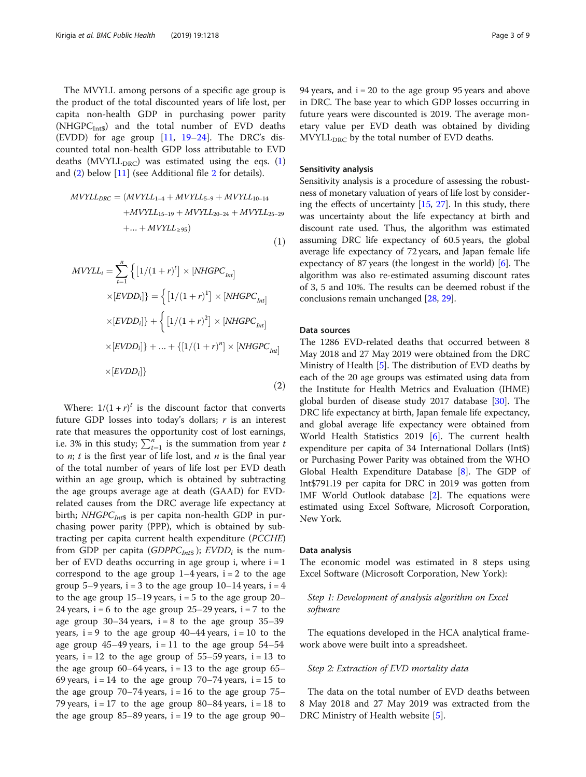<span id="page-2-0"></span>The MVYLL among persons of a specific age group is the product of the total discounted years of life lost, per capita non-health GDP in purchasing power parity (NHGPC $_{\text{Int}}$ s) and the total number of EVD deaths (EVDD) for age group [\[11](#page-8-0), [19](#page-8-0)–[24\]](#page-8-0). The DRC's discounted total non-health GDP loss attributable to EVD deaths (MVYLL<sub>DRC</sub>) was estimated using the eqs. (1) and (2) below [[11\]](#page-8-0) (see Additional file [2](#page-7-0) for details).

$$
MVYLL_{DRC} = (MVYLL_{1-4} + MVYLL_{5-9} + MVYLL_{10-14} + MVYLL_{15-19} + MVYLL_{20-24} + MVYLL_{25-29} +...+MVYLL_{295})
$$

$$
MVYLL_{i} = \sum_{t=1}^{n} \left\{ \left[ 1/(1+r)^{t} \right] \times \left[ NHGPC_{Int} \right] \right\}
$$

$$
\times \left[ EVDD_{i} \right] = \left\{ \left[ 1/(1+r)^{1} \right] \times \left[ NHGPC_{Int} \right] \right\}
$$

$$
\times \left[ EVDD_{i} \right] + \left\{ \left[ 1/(1+r)^{2} \right] \times \left[ NHGPC_{Int} \right] \right\}
$$

$$
\times \left[ EVDD_{i} \right] + ... + \left\{ \left[ 1/(1+r)^{n} \right] \times \left[ NHGPC_{Int} \right] \right\}
$$

$$
\times \left[ EVDD_{i} \right] \}
$$

$$
(2)
$$

Where:  $1/(1 + r)^t$  is the discount factor that converts future GDP losses into today's dollars;  $r$  is an interest rate that measures the opportunity cost of lost earnings, i.e. 3% in this study;  $\sum_{t=1}^{n}$  is the summation from year to  $u$ ; t is the final year to  $n$ ; t is the first year of life lost, and  $n$  is the final year of the total number of years of life lost per EVD death within an age group, which is obtained by subtracting the age groups average age at death (GAAD) for EVDrelated causes from the DRC average life expectancy at birth;  $NHGPC<sub>Int</sub>$  is per capita non-health GDP in purchasing power parity (PPP), which is obtained by subtracting per capita current health expenditure (PCCHE) from GDP per capita (GDPPC<sub>Int</sub>s); EVDD<sub>i</sub> is the number of EVD deaths occurring in age group i, where  $i = 1$ correspond to the age group  $1-4$  years,  $i = 2$  to the age group 5–9 years,  $i = 3$  to the age group 10–14 years,  $i = 4$ to the age group  $15-19$  years,  $i = 5$  to the age group  $20-$ 24 years,  $i = 6$  to the age group 25–29 years,  $i = 7$  to the age group  $30-34$  years,  $i = 8$  to the age group  $35-39$ years,  $i = 9$  to the age group 40–44 years,  $i = 10$  to the age group  $45-49$  years,  $i = 11$  to the age group  $54-54$ years,  $i = 12$  to the age group of 55–59 years,  $i = 13$  to the age group  $60-64$  years,  $i = 13$  to the age group  $65-$ 69 years,  $i = 14$  to the age group 70–74 years,  $i = 15$  to the age group  $70-74$  years,  $i = 16$  to the age group  $75-$ 79 years,  $i = 17$  to the age group 80–84 years,  $i = 18$  to the age group 85–89 years,  $i = 19$  to the age group 90–

## Sensitivity analysis

Sensitivity analysis is a procedure of assessing the robustness of monetary valuation of years of life lost by considering the effects of uncertainty [\[15,](#page-8-0) [27\]](#page-8-0). In this study, there was uncertainty about the life expectancy at birth and discount rate used. Thus, the algorithm was estimated assuming DRC life expectancy of 60.5 years, the global average life expectancy of 72 years, and Japan female life expectancy of 87 years (the longest in the world) [\[6\]](#page-8-0). The algorithm was also re-estimated assuming discount rates of 3, 5 and 10%. The results can be deemed robust if the conclusions remain unchanged [\[28](#page-8-0), [29](#page-8-0)].

## Data sources

 $(1)$ 

The 1286 EVD-related deaths that occurred between 8 May 2018 and 27 May 2019 were obtained from the DRC Ministry of Health [[5](#page-8-0)]. The distribution of EVD deaths by each of the 20 age groups was estimated using data from the Institute for Health Metrics and Evaluation (IHME) global burden of disease study 2017 database [\[30\]](#page-8-0). The DRC life expectancy at birth, Japan female life expectancy, and global average life expectancy were obtained from World Health Statistics 2019 [[6\]](#page-8-0). The current health expenditure per capita of 34 International Dollars (Int\$) or Purchasing Power Parity was obtained from the WHO Global Health Expenditure Database [\[8](#page-8-0)]. The GDP of Int\$791.19 per capita for DRC in 2019 was gotten from IMF World Outlook database [\[2](#page-8-0)]. The equations were estimated using Excel Software, Microsoft Corporation, New York.

#### Data analysis

The economic model was estimated in 8 steps using Excel Software (Microsoft Corporation, New York):

# Step 1: Development of analysis algorithm on Excel software

The equations developed in the HCA analytical framework above were built into a spreadsheet.

# Step 2: Extraction of EVD mortality data

The data on the total number of EVD deaths between 8 May 2018 and 27 May 2019 was extracted from the DRC Ministry of Health website [[5\]](#page-8-0).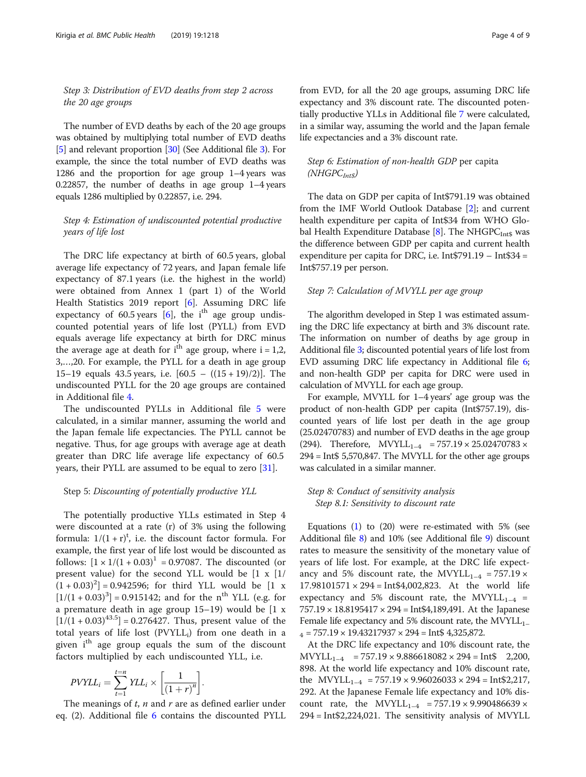Step 3: Distribution of EVD deaths from step 2 across the 20 age groups

The number of EVD deaths by each of the 20 age groups was obtained by multiplying total number of EVD deaths [[5](#page-8-0)] and relevant proportion [[30](#page-8-0)] (See Additional file [3](#page-7-0)). For example, the since the total number of EVD deaths was 1286 and the proportion for age group 1–4 years was 0.22857, the number of deaths in age group 1–4 years equals 1286 multiplied by 0.22857, i.e. 294.

# Step 4: Estimation of undiscounted potential productive years of life lost

The DRC life expectancy at birth of 60.5 years, global average life expectancy of 72 years, and Japan female life expectancy of 87.1 years (i.e. the highest in the world) were obtained from Annex 1 (part 1) of the World Health Statistics 2019 report [[6](#page-8-0)]. Assuming DRC life expectancy of 60.5 years  $[6]$  $[6]$ , the i<sup>th</sup> age group undiscounted potential years of life lost (PYLL) from EVD equals average life expectancy at birth for DRC minus the average age at death for  $i<sup>th</sup>$  age group, where  $i = 1,2$ , 3,…,20. For example, the PYLL for a death in age group 15–19 equals 43.5 years, i.e. [60.5 – ((15 + 19)/2)]. The undiscounted PYLL for the 20 age groups are contained in Additional file [4.](#page-7-0)

The undiscounted PYLLs in Additional file [5](#page-7-0) were calculated, in a similar manner, assuming the world and the Japan female life expectancies. The PYLL cannot be negative. Thus, for age groups with average age at death greater than DRC life average life expectancy of 60.5 years, their PYLL are assumed to be equal to zero [[31\]](#page-8-0).

# Step 5: Discounting of potentially productive YLL

The potentially productive YLLs estimated in Step 4 were discounted at a rate (r) of 3% using the following formula:  $1/(1+r)^t$ , i.e. the discount factor formula. For example, the first year of life lost would be discounted as follows:  $[1 \times 1/(1 + 0.03)^{1} = 0.97087$ . The discounted (or present value) for the second YLL would be [1 x [1/  $(1 + 0.03)^2$  = 0.942596; for third YLL would be [1 x  $[1/(1 + 0.03)^3] = 0.915142$ ; and for the n<sup>th</sup> YLL (e.g. for a premature death in age group 15–19) would be [1 x  $[1/(1 + 0.03)^{43.5}] = 0.276427$ . Thus, present value of the total years of life lost  $(PVYLL_i)$  from one death in a given  $i<sup>th</sup>$  age group equals the sum of the discount factors multiplied by each undiscounted YLL, i.e.

$$
PVYLL_i = \sum_{t=1}^{t=n} YLL_i \times \left[ \frac{1}{(1+r)^n} \right].
$$
  
The meanings of *t*, *n* and *r* are as defined earlier under

eq.  $(2)$ . Additional file [6](#page-7-0) contains the discounted PYLL

from EVD, for all the 20 age groups, assuming DRC life expectancy and 3% discount rate. The discounted potentially productive YLLs in Additional file [7](#page-7-0) were calculated, in a similar way, assuming the world and the Japan female life expectancies and a 3% discount rate.

# Step 6: Estimation of non-health GDP per capita  $(NHGPC<sub>Int$</sub>)$

The data on GDP per capita of Int\$791.19 was obtained from the IMF World Outlook Database [\[2](#page-8-0)]; and current health expenditure per capita of Int\$34 from WHO Global Health Expenditure Database  $[8]$  $[8]$ . The NHGPC<sub>Int\$</sub> was the difference between GDP per capita and current health expenditure per capita for DRC, i.e. Int\$791.19 – Int\$34 = Int\$757.19 per person.

# Step 7: Calculation of MVYLL per age group

The algorithm developed in Step 1 was estimated assuming the DRC life expectancy at birth and 3% discount rate. The information on number of deaths by age group in Additional file [3](#page-7-0); discounted potential years of life lost from EVD assuming DRC life expectancy in Additional file [6](#page-7-0); and non-health GDP per capita for DRC were used in calculation of MVYLL for each age group.

For example, MVYLL for 1–4 years' age group was the product of non-health GDP per capita (Int\$757.19), discounted years of life lost per death in the age group (25.02470783) and number of EVD deaths in the age group (294). Therefore,  $MVTLL_{1-4}$  = 757.19  $\times$  25.02470783  $\times$ 294 = Int\$ 5,570,847. The MVYLL for the other age groups was calculated in a similar manner.

# Step 8: Conduct of sensitivity analysis Step 8.1: Sensitivity to discount rate

Equations [\(1\)](#page-2-0) to (20) were re-estimated with 5% (see Additional file [8\)](#page-7-0) and 10% (see Additional file [9](#page-7-0)) discount rates to measure the sensitivity of the monetary value of years of life lost. For example, at the DRC life expectancy and 5% discount rate, the MVYLL<sub>1–4</sub> = 757.19  $\times$ 17.98101571 × 294 = Int\$4,002,823. At the world life expectancy and 5% discount rate, the MVYLL<sub>1–4</sub> = 757.19 × 18.8195417 × 294 = Int\$4,189,491. At the Japanese Female life expectancy and 5% discount rate, the  $MVYLL_{1-}$  $_{4}$  = 757.19  $\times$  19.43217937  $\times$  294 = Int\$ 4,325,872.

At the DRC life expectancy and 10% discount rate, the  $MVTLL_{1-4}$  = 757.19 × 9.886618082 × 294 = Int\$ 2,200, 898. At the world life expectancy and 10% discount rate, the MVYLL<sub>1–4</sub> = 757.19  $\times$  9.96026033  $\times$  294 = Int\$2,217, 292. At the Japanese Female life expectancy and 10% discount rate, the MVYLL<sub>1–4</sub> = 757.19 × 9.990486639 × 294 = Int\$2,224,021. The sensitivity analysis of MVYLL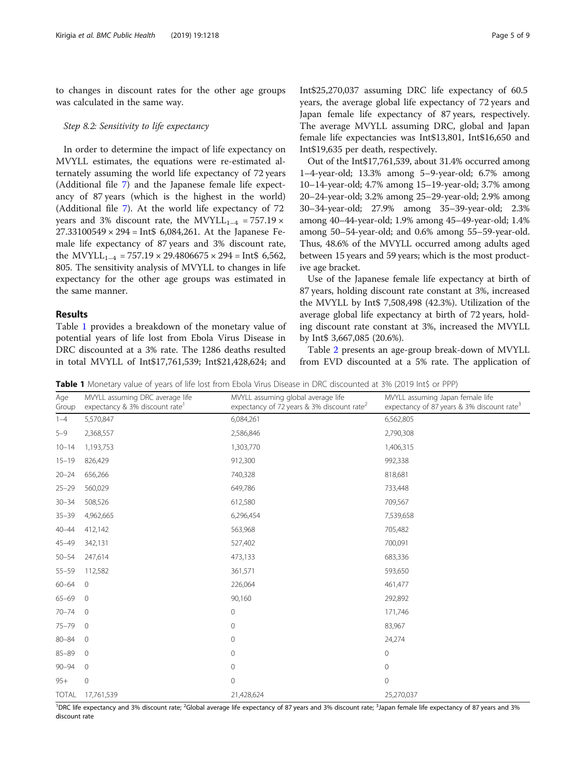to changes in discount rates for the other age groups was calculated in the same way.

# Step 8.2: Sensitivity to life expectancy

In order to determine the impact of life expectancy on MVYLL estimates, the equations were re-estimated alternately assuming the world life expectancy of 72 years (Additional file [7](#page-7-0)) and the Japanese female life expectancy of 87 years (which is the highest in the world) (Additional file [7](#page-7-0)). At the world life expectancy of 72 years and 3% discount rate, the MVYLL<sub>1–4</sub> = 757.19  $\times$  $27.33100549 \times 294 = \text{Int}\$6,084,261$ . At the Japanese Female life expectancy of 87 years and 3% discount rate, the MVYLL<sub>1–4</sub> = 757.19  $\times$  29.4806675  $\times$  294 = Int\$ 6,562, 805. The sensitivity analysis of MVYLL to changes in life expectancy for the other age groups was estimated in the same manner.

# Results

Table 1 provides a breakdown of the monetary value of potential years of life lost from Ebola Virus Disease in DRC discounted at a 3% rate. The 1286 deaths resulted in total MVYLL of Int\$17,761,539; Int\$21,428,624; and Int\$25,270,037 assuming DRC life expectancy of 60.5 years, the average global life expectancy of 72 years and Japan female life expectancy of 87 years, respectively. The average MVYLL assuming DRC, global and Japan female life expectancies was Int\$13,801, Int\$16,650 and Int\$19,635 per death, respectively.

Out of the Int\$17,761,539, about 31.4% occurred among 1–4-year-old; 13.3% among 5–9-year-old; 6.7% among 10–14-year-old; 4.7% among 15–19-year-old; 3.7% among 20–24-year-old; 3.2% among 25–29-year-old; 2.9% among 30–34-year-old; 27.9% among 35–39-year-old; 2.3% among 40–44-year-old; 1.9% among 45–49-year-old; 1.4% among 50–54-year-old; and 0.6% among 55–59-year-old. Thus, 48.6% of the MVYLL occurred among adults aged between 15 years and 59 years; which is the most productive age bracket.

Use of the Japanese female life expectancy at birth of 87 years, holding discount rate constant at 3%, increased the MVYLL by Int\$ 7,508,498 (42.3%). Utilization of the average global life expectancy at birth of 72 years, holding discount rate constant at 3%, increased the MVYLL by Int\$ 3,667,085 (20.6%).

Table [2](#page-5-0) presents an age-group break-down of MVYLL from EVD discounted at a 5% rate. The application of

Table 1 Monetary value of years of life lost from Ebola Virus Disease in DRC discounted at 3% (2019 Int\$ or PPP)

| Age<br>Group | MVYLL assuming DRC average life<br>expectancy & 3% discount rate | MVYLL assuming global average life<br>expectancy of 72 years & 3% discount rate <sup>2</sup> | MVYLL assuming Japan female life<br>expectancy of 87 years & 3% discount rate <sup>3</sup> |
|--------------|------------------------------------------------------------------|----------------------------------------------------------------------------------------------|--------------------------------------------------------------------------------------------|
| $1 - 4$      | 5,570,847                                                        | 6,084,261                                                                                    | 6,562,805                                                                                  |
| $5 - 9$      | 2,368,557                                                        | 2,586,846                                                                                    | 2,790,308                                                                                  |
| $10 - 14$    | 1,193,753                                                        | 1,303,770                                                                                    | 1,406,315                                                                                  |
| $15 - 19$    | 826,429                                                          | 912,300                                                                                      | 992,338                                                                                    |
| $20 - 24$    | 656,266                                                          | 740,328                                                                                      | 818,681                                                                                    |
| $25 - 29$    | 560,029                                                          | 649,786                                                                                      | 733,448                                                                                    |
| $30 - 34$    | 508,526                                                          | 612,580                                                                                      | 709,567                                                                                    |
| $35 - 39$    | 4,962,665                                                        | 6,296,454                                                                                    | 7,539,658                                                                                  |
| $40 - 44$    | 412,142                                                          | 563,968                                                                                      | 705,482                                                                                    |
| $45 - 49$    | 342,131                                                          | 527,402                                                                                      | 700,091                                                                                    |
| $50 - 54$    | 247,614                                                          | 473,133                                                                                      | 683,336                                                                                    |
| $55 - 59$    | 112,582                                                          | 361,571                                                                                      | 593,650                                                                                    |
| $60 - 64$    | $\overline{0}$                                                   | 226,064                                                                                      | 461,477                                                                                    |
| $65 - 69$    | $\mathbf 0$                                                      | 90,160                                                                                       | 292,892                                                                                    |
| $70 - 74$    | $\overline{0}$                                                   | 0                                                                                            | 171,746                                                                                    |
| $75 - 79$    | $\mathbf{0}$                                                     | 0                                                                                            | 83,967                                                                                     |
| $80 - 84$    | $\mathbf 0$                                                      | 0                                                                                            | 24,274                                                                                     |
| $85 - 89$    | $\circ$                                                          | 0                                                                                            | $\mathbf 0$                                                                                |
| $90 - 94$    | $\circ$                                                          | 0                                                                                            | $\circ$                                                                                    |
| $95+$        | 0                                                                | $\mathbf 0$                                                                                  | $\mathbf 0$                                                                                |
| <b>TOTAL</b> | 17,761,539                                                       | 21,428,624                                                                                   | 25,270,037                                                                                 |

<sup>1</sup>DRC life expectancy and 3% discount rate; <sup>2</sup>Global average life expectancy of 87 years and 3% discount rate; <sup>3</sup>Japan female life expectancy of 87 years and 3% discount rate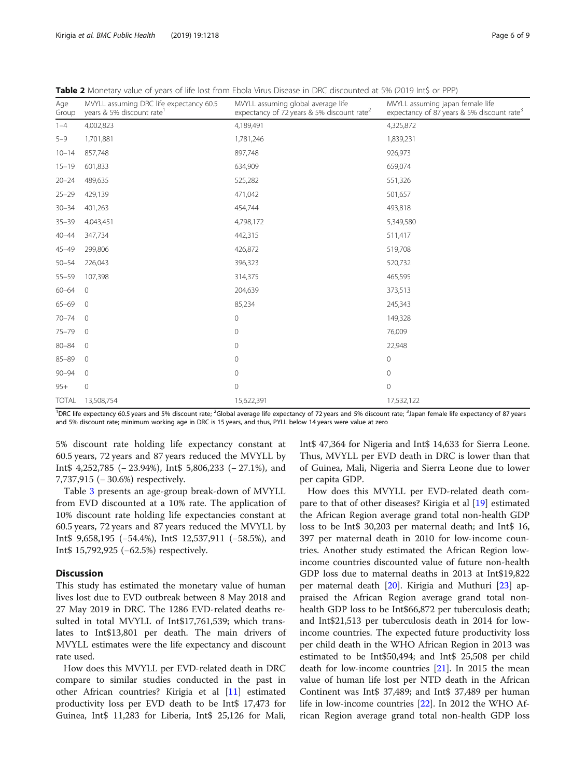<span id="page-5-0"></span>

| Age<br>Group | MVYLL assuming DRC life expectancy 60.5<br>years & 5% discount rate <sup>1</sup> | MVYLL assuming global average life<br>expectancy of 72 years & 5% discount rate <sup>2</sup> | MVYLL assuming japan female life<br>expectancy of 87 years & 5% discount rate <sup>3</sup> |
|--------------|----------------------------------------------------------------------------------|----------------------------------------------------------------------------------------------|--------------------------------------------------------------------------------------------|
| $1 - 4$      | 4,002,823                                                                        | 4,189,491                                                                                    | 4,325,872                                                                                  |
| $5 - 9$      | 1,701,881                                                                        | 1,781,246                                                                                    | 1,839,231                                                                                  |
| $10 - 14$    | 857,748                                                                          | 897,748                                                                                      | 926,973                                                                                    |
| $15 - 19$    | 601,833                                                                          | 634,909                                                                                      | 659,074                                                                                    |
| $20 - 24$    | 489,635                                                                          | 525,282                                                                                      | 551,326                                                                                    |
| $25 - 29$    | 429,139                                                                          | 471,042                                                                                      | 501,657                                                                                    |
| $30 - 34$    | 401,263                                                                          | 454,744                                                                                      | 493,818                                                                                    |
| $35 - 39$    | 4,043,451                                                                        | 4,798,172                                                                                    | 5,349,580                                                                                  |
| $40 - 44$    | 347,734                                                                          | 442,315                                                                                      | 511,417                                                                                    |
| $45 - 49$    | 299,806                                                                          | 426,872                                                                                      | 519,708                                                                                    |
| $50 - 54$    | 226,043                                                                          | 396,323                                                                                      | 520,732                                                                                    |
| $55 - 59$    | 107,398                                                                          | 314,375                                                                                      | 465,595                                                                                    |
| $60 - 64$    | $\mathbf{0}$                                                                     | 204,639                                                                                      | 373,513                                                                                    |
| $65 - 69$    | $\mathbf 0$                                                                      | 85,234                                                                                       | 245,343                                                                                    |
| $70 - 74$    | $\mathbf{0}$                                                                     | $\mathbf 0$                                                                                  | 149,328                                                                                    |
| $75 - 79$    | $\mathbf 0$                                                                      | $\mathbf 0$                                                                                  | 76,009                                                                                     |
| $80 - 84$    | $\mathbf{0}$                                                                     | $\mathbf 0$                                                                                  | 22,948                                                                                     |
| $85 - 89$    | $\mathbf 0$                                                                      | $\mathbf 0$                                                                                  | 0                                                                                          |
| $90 - 94$    | $\mathbf{0}$                                                                     | $\mathbf 0$                                                                                  | $\mathbf 0$                                                                                |
| $95+$        | $\mathbf{0}$                                                                     | $\mathbf 0$                                                                                  | $\mathbf 0$                                                                                |
| <b>TOTAL</b> | 13,508,754                                                                       | 15,622,391                                                                                   | 17,532,122                                                                                 |

<sup>1</sup>DRC life expectancy 60.5 years and 5% discount rate; <sup>2</sup>Global average life expectancy of 72 years and 5% discount rate; <sup>3</sup>Japan female life expectancy of 87 years and 5% discount rate; minimum working age in DRC is 15 years, and thus, PYLL below 14 years were value at zero

5% discount rate holding life expectancy constant at 60.5 years, 72 years and 87 years reduced the MVYLL by Int\$ 4,252,785 (− 23.94%), Int\$ 5,806,233 (− 27.1%), and 7,737,915 (− 30.6%) respectively.

Table [3](#page-6-0) presents an age-group break-down of MVYLL from EVD discounted at a 10% rate. The application of 10% discount rate holding life expectancies constant at 60.5 years, 72 years and 87 years reduced the MVYLL by Int\$ 9,658,195 (−54.4%), Int\$ 12,537,911 (−58.5%), and Int\$ 15,792,925 (−62.5%) respectively.

# **Discussion**

This study has estimated the monetary value of human lives lost due to EVD outbreak between 8 May 2018 and 27 May 2019 in DRC. The 1286 EVD-related deaths resulted in total MVYLL of Int\$17,761,539; which translates to Int\$13,801 per death. The main drivers of MVYLL estimates were the life expectancy and discount rate used.

How does this MVYLL per EVD-related death in DRC compare to similar studies conducted in the past in other African countries? Kirigia et al [\[11\]](#page-8-0) estimated productivity loss per EVD death to be Int\$ 17,473 for Guinea, Int\$ 11,283 for Liberia, Int\$ 25,126 for Mali,

Int\$ 47,364 for Nigeria and Int\$ 14,633 for Sierra Leone. Thus, MVYLL per EVD death in DRC is lower than that of Guinea, Mali, Nigeria and Sierra Leone due to lower per capita GDP.

How does this MVYLL per EVD-related death compare to that of other diseases? Kirigia et al [\[19](#page-8-0)] estimated the African Region average grand total non-health GDP loss to be Int\$ 30,203 per maternal death; and Int\$ 16, 397 per maternal death in 2010 for low-income countries. Another study estimated the African Region lowincome countries discounted value of future non-health GDP loss due to maternal deaths in 2013 at Int\$19,822 per maternal death [[20\]](#page-8-0). Kirigia and Muthuri [[23](#page-8-0)] appraised the African Region average grand total nonhealth GDP loss to be Int\$66,872 per tuberculosis death; and Int\$21,513 per tuberculosis death in 2014 for lowincome countries. The expected future productivity loss per child death in the WHO African Region in 2013 was estimated to be Int\$50,494; and Int\$ 25,508 per child death for low-income countries [[21\]](#page-8-0). In 2015 the mean value of human life lost per NTD death in the African Continent was Int\$ 37,489; and Int\$ 37,489 per human life in low-income countries [\[22](#page-8-0)]. In 2012 the WHO African Region average grand total non-health GDP loss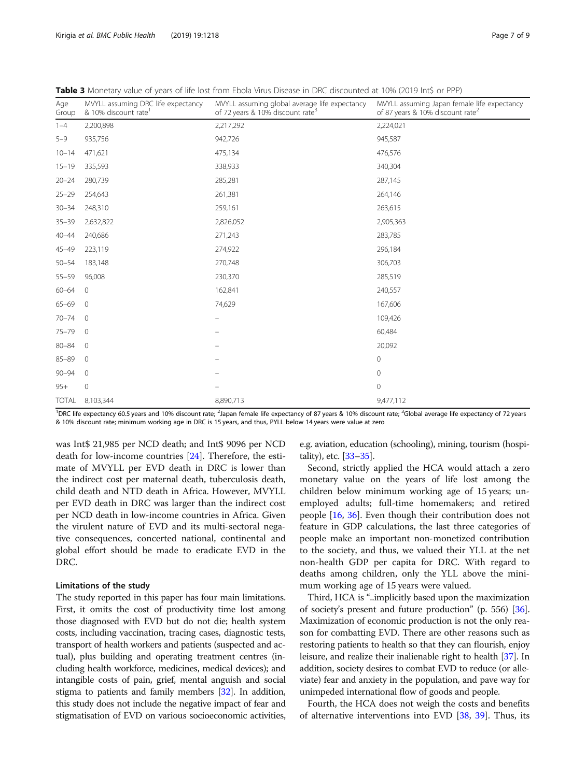| Age<br>Group | MVYLL assuming DRC life expectancy<br>& 10% discount rate | MVYLL assuming global average life expectancy<br>of 72 years & 10% discount rate <sup>3</sup> | MVYLL assuming Japan female life expectancy<br>of 87 years & 10% discount rate <sup>2</sup> |
|--------------|-----------------------------------------------------------|-----------------------------------------------------------------------------------------------|---------------------------------------------------------------------------------------------|
| $1 - 4$      | 2,200,898                                                 | 2,217,292                                                                                     | 2,224,021                                                                                   |
| $5 - 9$      | 935,756                                                   | 942,726                                                                                       | 945,587                                                                                     |
| $10 - 14$    | 471,621                                                   | 475,134                                                                                       | 476,576                                                                                     |
| $15 - 19$    | 335,593                                                   | 338,933                                                                                       | 340,304                                                                                     |
| $20 - 24$    | 280,739                                                   | 285,281                                                                                       | 287,145                                                                                     |
| $25 - 29$    | 254,643                                                   | 261,381                                                                                       | 264,146                                                                                     |
| $30 - 34$    | 248,310                                                   | 259,161                                                                                       | 263,615                                                                                     |
| $35 - 39$    | 2,632,822                                                 | 2,826,052                                                                                     | 2,905,363                                                                                   |
| $40 - 44$    | 240,686                                                   | 271,243                                                                                       | 283,785                                                                                     |
| 45-49        | 223,119                                                   | 274,922                                                                                       | 296,184                                                                                     |
| $50 - 54$    | 183,148                                                   | 270,748                                                                                       | 306,703                                                                                     |
| $55 - 59$    | 96,008                                                    | 230,370                                                                                       | 285,519                                                                                     |
| $60 - 64$    | $\overline{0}$                                            | 162,841                                                                                       | 240,557                                                                                     |
| $65 - 69$    | $\overline{0}$                                            | 74,629                                                                                        | 167,606                                                                                     |
| $70 - 74$    | $\overline{0}$                                            | -                                                                                             | 109,426                                                                                     |
| 75-79        | $\overline{0}$                                            |                                                                                               | 60,484                                                                                      |
| $80 - 84$    | $\overline{0}$                                            |                                                                                               | 20,092                                                                                      |
| $85 - 89$    | $\overline{0}$                                            |                                                                                               | $\mathbf 0$                                                                                 |
| $90 - 94$    | $\overline{0}$                                            |                                                                                               | 0                                                                                           |
| $95+$        | $\mathbf 0$                                               |                                                                                               | $\mathbf 0$                                                                                 |
|              |                                                           |                                                                                               |                                                                                             |

<span id="page-6-0"></span>Table 3 Monetary value of years of life lost from Ebola Virus Disease in DRC discounted at 10% (2019 Int\$ or PPP)

<sup>1</sup>DRC life expectancy 60.5 years and 10% discount rate; <sup>2</sup>Japan female life expectancy of 87 years & 10% discount rate; <sup>3</sup>Global average life expectancy of 72 years & 10% discount rate; minimum working age in DRC is 15 years, and thus, PYLL below 14 years were value at zero

TOTAL 8.103.344 8,890.713 9,477,112

was Int\$ 21,985 per NCD death; and Int\$ 9096 per NCD death for low-income countries [[24\]](#page-8-0). Therefore, the estimate of MVYLL per EVD death in DRC is lower than the indirect cost per maternal death, tuberculosis death, child death and NTD death in Africa. However, MVYLL per EVD death in DRC was larger than the indirect cost per NCD death in low-income countries in Africa. Given the virulent nature of EVD and its multi-sectoral negative consequences, concerted national, continental and global effort should be made to eradicate EVD in the DRC.

# Limitations of the study

The study reported in this paper has four main limitations. First, it omits the cost of productivity time lost among those diagnosed with EVD but do not die; health system costs, including vaccination, tracing cases, diagnostic tests, transport of health workers and patients (suspected and actual), plus building and operating treatment centres (including health workforce, medicines, medical devices); and intangible costs of pain, grief, mental anguish and social stigma to patients and family members [[32](#page-8-0)]. In addition, this study does not include the negative impact of fear and stigmatisation of EVD on various socioeconomic activities,

e.g. aviation, education (schooling), mining, tourism (hospitality), etc. [\[33](#page-8-0)–[35\]](#page-8-0).

Second, strictly applied the HCA would attach a zero monetary value on the years of life lost among the children below minimum working age of 15 years; unemployed adults; full-time homemakers; and retired people [[16,](#page-8-0) [36\]](#page-8-0). Even though their contribution does not feature in GDP calculations, the last three categories of people make an important non-monetized contribution to the society, and thus, we valued their YLL at the net non-health GDP per capita for DRC. With regard to deaths among children, only the YLL above the minimum working age of 15 years were valued.

Third, HCA is "..implicitly based upon the maximization of society's present and future production" (p. 556) [[36](#page-8-0)]. Maximization of economic production is not the only reason for combatting EVD. There are other reasons such as restoring patients to health so that they can flourish, enjoy leisure, and realize their inalienable right to health [\[37\]](#page-8-0). In addition, society desires to combat EVD to reduce (or alleviate) fear and anxiety in the population, and pave way for unimpeded international flow of goods and people.

Fourth, the HCA does not weigh the costs and benefits of alternative interventions into EVD [\[38](#page-8-0), [39\]](#page-8-0). Thus, its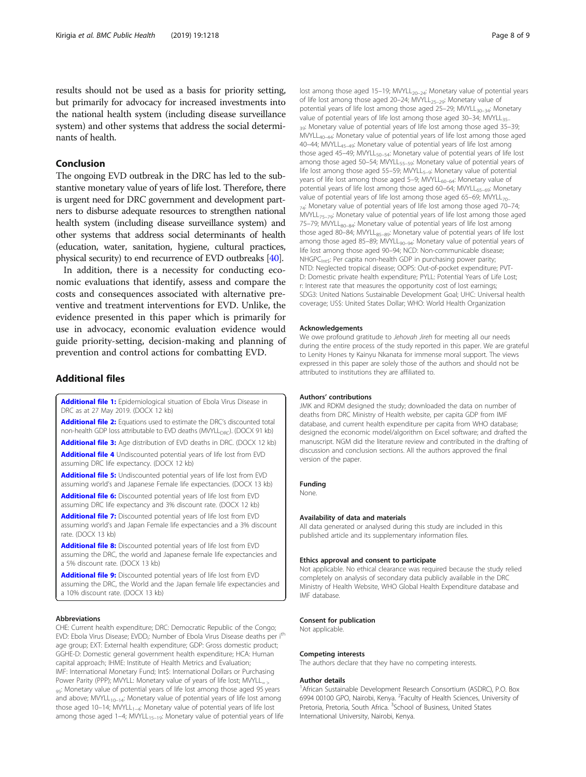<span id="page-7-0"></span>results should not be used as a basis for priority setting, but primarily for advocacy for increased investments into the national health system (including disease surveillance system) and other systems that address the social determinants of health.

# Conclusion

The ongoing EVD outbreak in the DRC has led to the substantive monetary value of years of life lost. Therefore, there is urgent need for DRC government and development partners to disburse adequate resources to strengthen national health system (including disease surveillance system) and other systems that address social determinants of health (education, water, sanitation, hygiene, cultural practices, physical security) to end recurrence of EVD outbreaks [\[40](#page-8-0)].

In addition, there is a necessity for conducting economic evaluations that identify, assess and compare the costs and consequences associated with alternative preventive and treatment interventions for EVD. Unlike, the evidence presented in this paper which is primarily for use in advocacy, economic evaluation evidence would guide priority-setting, decision-making and planning of prevention and control actions for combatting EVD.

# Additional files

[Additional file 1:](https://doi.org/10.1186/s12889-019-7542-2) Epidemiological situation of Ebola Virus Disease in DRC as at 27 May 2019. (DOCX 12 kb)

[Additional file 2:](https://doi.org/10.1186/s12889-019-7542-2) Equations used to estimate the DRC's discounted total non-health GDP loss attributable to EVD deaths (MVYLL<sub>DRC</sub>). (DOCX 91 kb)

[Additional file 3:](https://doi.org/10.1186/s12889-019-7542-2) Age distribution of EVD deaths in DRC. (DOCX 12 kb)

[Additional file 4](https://doi.org/10.1186/s12889-019-7542-2) Undiscounted potential years of life lost from EVD assuming DRC life expectancy. (DOCX 12 kb)

[Additional file 5:](https://doi.org/10.1186/s12889-019-7542-2) Undiscounted potential years of life lost from EVD assuming world's and Japanese Female life expectancies. (DOCX 13 kb)

[Additional file 6:](https://doi.org/10.1186/s12889-019-7542-2) Discounted potential years of life lost from EVD assuming DRC life expectancy and 3% discount rate. (DOCX 12 kb)

[Additional file 7:](https://doi.org/10.1186/s12889-019-7542-2) Discounted potential years of life lost from EVD assuming world's and Japan Female life expectancies and a 3% discount rate. (DOCX 13 kb)

[Additional file 8:](https://doi.org/10.1186/s12889-019-7542-2) Discounted potential years of life lost from EVD assuming the DRC, the world and Japanese female life expectancies and a 5% discount rate. (DOCX 13 kb)

[Additional file 9:](https://doi.org/10.1186/s12889-019-7542-2) Discounted potential years of life lost from EVD assuming the DRC, the World and the Japan female life expectancies and a 10% discount rate. (DOCX 13 kb)

#### Abbreviations

CHE: Current health expenditure; DRC: Democratic Republic of the Congo; EVD: Ebola Virus Disease; EVDD<sub>i</sub>: Number of Ebola Virus Disease deaths per i<sup>th</sup> age group; EXT: External health expenditure; GDP: Gross domestic product; GGHE-D: Domestic general government health expenditure; HCA: Human capital approach; IHME: Institute of Health Metrics and Evaluation; IMF: International Monetary Fund; Int\$: International Dollars or Purchasing Power Parity (PPP); MVYLL: Monetary value of years of life lost; MVYLL<sub>=></sub> 95: Monetary value of potential years of life lost among those aged 95 years and above;  $M_VYLL_{10-14}$ : Monetary value of potential years of life lost among those aged 10–14; MVYLL<sub>1–4</sub>: Monetary value of potential years of life lost among those aged 1–4;  $MWLL_{15-19}$ : Monetary value of potential years of life

lost among those aged 15–19; MVYLL<sub>20–24</sub>: Monetary value of potential years of life lost among those aged 20-24; MVYLL<sub>25-29</sub>: Monetary value of potential years of life lost among those aged 25–29; MVYLL $_{30-34}$ : Monetary value of potential years of life lost among those aged 30-34; MVYLL35-39: Monetary value of potential years of life lost among those aged 35-39;  $MWL_{40-44}$ : Monetary value of potential years of life lost among those aged 40–44; MVYLL<sub>45–49</sub>: Monetary value of potential years of life lost among those aged 45–49; MVYLL $_{50-54}$ : Monetary value of potential years of life lost among those aged 50–54; MVYLL<sub>55–59</sub>: Monetary value of potential years of life lost among those aged 55–59; MVYLL<sub>5–9</sub>: Monetary value of potential years of life lost among those aged 5-9; MVYLL<sub>60-64</sub>: Monetary value of potential years of life lost among those aged 60-64; MVYLL<sub>65-69</sub>: Monetary value of potential years of life lost among those aged 65–69; MVYLL $_{70}$ <sub>74</sub>: Monetary value of potential years of life lost among those aged 70-74; MVYLL<sub>75–79</sub>: Monetary value of potential years of life lost among those aged 75–79; MVYLL<sub>80–84</sub>: Monetary value of potential years of life lost among those aged 80–84; MVYLL<sub>85–89</sub>: Monetary value of potential years of life lost among those aged 85–89; MVYLL<sub>90–94</sub>: Monetary value of potential years of life lost among those aged 90–94; NCD: Non-communicable disease; NHGPC<sub>Ints</sub>: Per capita non-health GDP in purchasing power parity; NTD: Neglected tropical disease; OOPS: Out-of-pocket expenditure; PVT-D: Domestic private health expenditure; PYLL: Potential Years of Life Lost; r: Interest rate that measures the opportunity cost of lost earnings; SDG3: United Nations Sustainable Development Goal; UHC: Universal health coverage; US\$: United States Dollar; WHO: World Health Organization

#### Acknowledgements

We owe profound gratitude to Jehovah Jireh for meeting all our needs during the entire process of the study reported in this paper. We are grateful to Lenity Hones ty Kainyu Nkanata for immense moral support. The views expressed in this paper are solely those of the authors and should not be attributed to institutions they are affiliated to.

#### Authors' contributions

JMK and RDKM designed the study; downloaded the data on number of deaths from DRC Ministry of Health website, per capita GDP from IMF database, and current health expenditure per capita from WHO database; designed the economic model/algorithm on Excel software; and drafted the manuscript. NGM did the literature review and contributed in the drafting of discussion and conclusion sections. All the authors approved the final version of the paper.

#### Funding

None.

#### Availability of data and materials

All data generated or analysed during this study are included in this published article and its supplementary information files.

#### Ethics approval and consent to participate

Not applicable. No ethical clearance was required because the study relied completely on analysis of secondary data publicly available in the DRC Ministry of Health Website, WHO Global Health Expenditure database and IMF database.

#### Consent for publication

Not applicable.

#### Competing interests

The authors declare that they have no competing interests.

#### Author details

<sup>1</sup> African Sustainable Development Research Consortium (ASDRC), P.O. Box 6994 00100 GPO, Nairobi, Kenya. <sup>2</sup> Faculty of Health Sciences, University of Pretoria, Pretoria, South Africa. <sup>3</sup>School of Business, United States International University, Nairobi, Kenya.